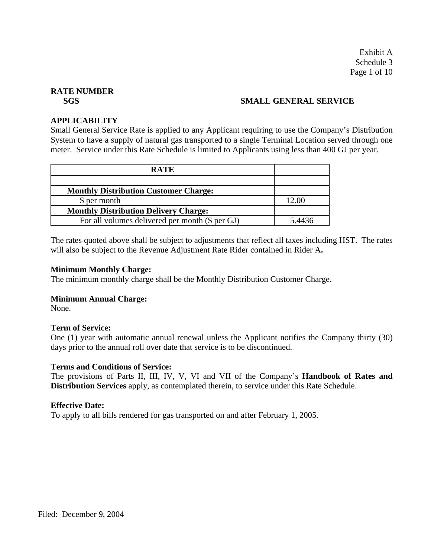Exhibit A Schedule 3 Page 1 of 10

# **RATE NUMBER**

# **SGS SMALL GENERAL SERVICE**

### **APPLICABILITY**

Small General Service Rate is applied to any Applicant requiring to use the Company's Distribution System to have a supply of natural gas transported to a single Terminal Location served through one meter. Service under this Rate Schedule is limited to Applicants using less than 400 GJ per year.

| <b>RATE</b>                                     |        |
|-------------------------------------------------|--------|
|                                                 |        |
| <b>Monthly Distribution Customer Charge:</b>    |        |
| \$ per month                                    | 12.00  |
| <b>Monthly Distribution Delivery Charge:</b>    |        |
| For all volumes delivered per month (\$ per GJ) | 5.4436 |

The rates quoted above shall be subject to adjustments that reflect all taxes including HST. The rates will also be subject to the Revenue Adjustment Rate Rider contained in Rider A**.**

#### **Minimum Monthly Charge:**

The minimum monthly charge shall be the Monthly Distribution Customer Charge.

# **Minimum Annual Charge:**

None.

# **Term of Service:**

One (1) year with automatic annual renewal unless the Applicant notifies the Company thirty (30) days prior to the annual roll over date that service is to be discontinued.

#### **Terms and Conditions of Service:**

The provisions of Parts II, III, IV, V, VI and VII of the Company's **Handbook of Rates and Distribution Services** apply, as contemplated therein, to service under this Rate Schedule.

#### **Effective Date:**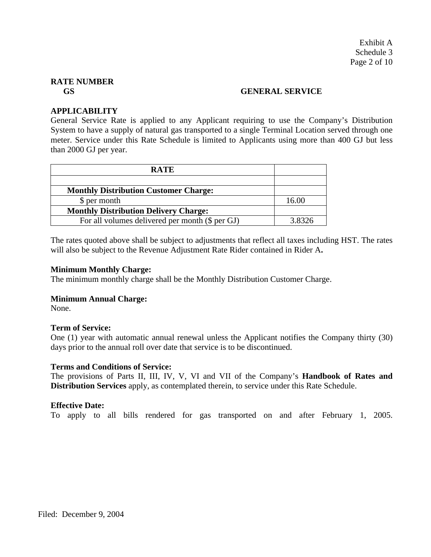#### **GS GENERAL SERVICE**

# **APPLICABILITY**

General Service Rate is applied to any Applicant requiring to use the Company's Distribution System to have a supply of natural gas transported to a single Terminal Location served through one meter. Service under this Rate Schedule is limited to Applicants using more than 400 GJ but less than 2000 GJ per year.

| <b>RATE</b>                                     |        |
|-------------------------------------------------|--------|
|                                                 |        |
| <b>Monthly Distribution Customer Charge:</b>    |        |
| \$ per month                                    | 16.00  |
| <b>Monthly Distribution Delivery Charge:</b>    |        |
| For all volumes delivered per month (\$ per GJ) | 3.8326 |

The rates quoted above shall be subject to adjustments that reflect all taxes including HST. The rates will also be subject to the Revenue Adjustment Rate Rider contained in Rider A**.**

#### **Minimum Monthly Charge:**

The minimum monthly charge shall be the Monthly Distribution Customer Charge.

# **Minimum Annual Charge:**

None.

#### **Term of Service:**

One (1) year with automatic annual renewal unless the Applicant notifies the Company thirty (30) days prior to the annual roll over date that service is to be discontinued.

#### **Terms and Conditions of Service:**

The provisions of Parts II, III, IV, V, VI and VII of the Company's **Handbook of Rates and Distribution Services** apply, as contemplated therein, to service under this Rate Schedule.

#### **Effective Date:**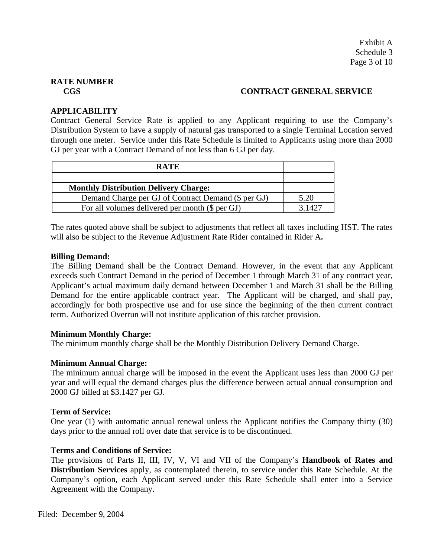# **CGS CONTRACT GENERAL SERVICE**

# **APPLICABILITY**

Contract General Service Rate is applied to any Applicant requiring to use the Company's Distribution System to have a supply of natural gas transported to a single Terminal Location served through one meter. Service under this Rate Schedule is limited to Applicants using more than 2000 GJ per year with a Contract Demand of not less than 6 GJ per day.

| <b>RATE</b>                                         |        |
|-----------------------------------------------------|--------|
|                                                     |        |
| <b>Monthly Distribution Delivery Charge:</b>        |        |
| Demand Charge per GJ of Contract Demand (\$ per GJ) | 5.20   |
| For all volumes delivered per month (\$ per GJ)     | 3 1427 |

The rates quoted above shall be subject to adjustments that reflect all taxes including HST. The rates will also be subject to the Revenue Adjustment Rate Rider contained in Rider A**.**

# **Billing Demand:**

The Billing Demand shall be the Contract Demand. However, in the event that any Applicant exceeds such Contract Demand in the period of December 1 through March 31 of any contract year, Applicant's actual maximum daily demand between December 1 and March 31 shall be the Billing Demand for the entire applicable contract year. The Applicant will be charged, and shall pay, accordingly for both prospective use and for use since the beginning of the then current contract term. Authorized Overrun will not institute application of this ratchet provision.

# **Minimum Monthly Charge:**

The minimum monthly charge shall be the Monthly Distribution Delivery Demand Charge.

# **Minimum Annual Charge:**

The minimum annual charge will be imposed in the event the Applicant uses less than 2000 GJ per year and will equal the demand charges plus the difference between actual annual consumption and 2000 GJ billed at \$3.1427 per GJ.

# **Term of Service:**

One year (1) with automatic annual renewal unless the Applicant notifies the Company thirty (30) days prior to the annual roll over date that service is to be discontinued.

# **Terms and Conditions of Service:**

The provisions of Parts II, III, IV, V, VI and VII of the Company's **Handbook of Rates and Distribution Services** apply, as contemplated therein, to service under this Rate Schedule. At the Company's option, each Applicant served under this Rate Schedule shall enter into a Service Agreement with the Company.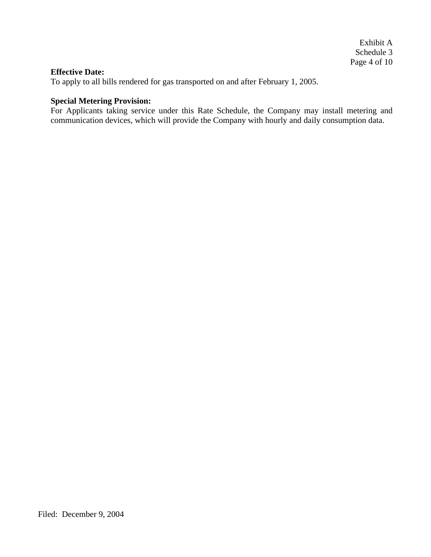#### **Effective Date:**

To apply to all bills rendered for gas transported on and after February 1, 2005.

# **Special Metering Provision:**

For Applicants taking service under this Rate Schedule, the Company may install metering and communication devices, which will provide the Company with hourly and daily consumption data.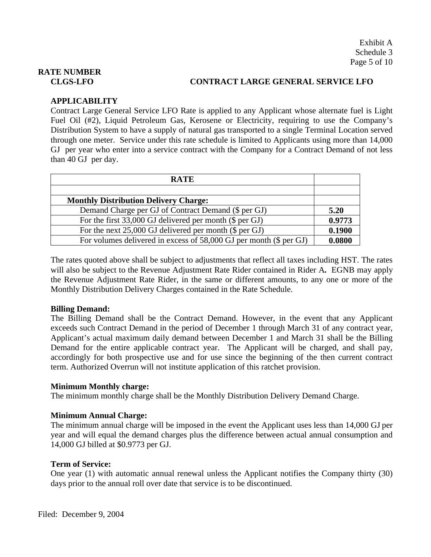# **CLGS-LFO CONTRACT LARGE GENERAL SERVICE LFO**

# **APPLICABILITY**

Contract Large General Service LFO Rate is applied to any Applicant whose alternate fuel is Light Fuel Oil (#2), Liquid Petroleum Gas, Kerosene or Electricity, requiring to use the Company's Distribution System to have a supply of natural gas transported to a single Terminal Location served through one meter. Service under this rate schedule is limited to Applicants using more than 14,000 GJ per year who enter into a service contract with the Company for a Contract Demand of not less than 40 GJ per day.

| <b>RATE</b>                                                        |        |
|--------------------------------------------------------------------|--------|
|                                                                    |        |
| <b>Monthly Distribution Delivery Charge:</b>                       |        |
| Demand Charge per GJ of Contract Demand (\$ per GJ)                | 5.20   |
| For the first $33,000$ GJ delivered per month (\$ per GJ)          | 0.9773 |
| For the next $25,000$ GJ delivered per month (\$ per GJ)           | 0.1900 |
| For volumes delivered in excess of 58,000 GJ per month (\$ per GJ) | 0.0800 |

The rates quoted above shall be subject to adjustments that reflect all taxes including HST. The rates will also be subject to the Revenue Adjustment Rate Rider contained in Rider A**.** EGNB may apply the Revenue Adjustment Rate Rider, in the same or different amounts, to any one or more of the Monthly Distribution Delivery Charges contained in the Rate Schedule.

# **Billing Demand:**

The Billing Demand shall be the Contract Demand. However, in the event that any Applicant exceeds such Contract Demand in the period of December 1 through March 31 of any contract year, Applicant's actual maximum daily demand between December 1 and March 31 shall be the Billing Demand for the entire applicable contract year. The Applicant will be charged, and shall pay, accordingly for both prospective use and for use since the beginning of the then current contract term. Authorized Overrun will not institute application of this ratchet provision.

# **Minimum Monthly charge:**

The minimum monthly charge shall be the Monthly Distribution Delivery Demand Charge.

# **Minimum Annual Charge:**

The minimum annual charge will be imposed in the event the Applicant uses less than 14,000 GJ per year and will equal the demand charges plus the difference between actual annual consumption and 14,000 GJ billed at \$0.9773 per GJ.

# **Term of Service:**

One year (1) with automatic annual renewal unless the Applicant notifies the Company thirty (30) days prior to the annual roll over date that service is to be discontinued.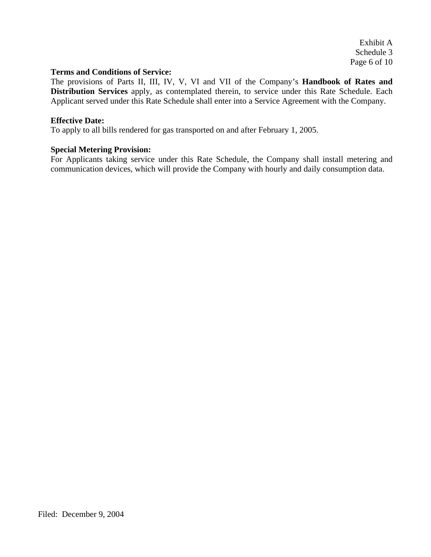Exhibit A Schedule 3 Page 6 of 10

### **Terms and Conditions of Service:**

The provisions of Parts II, III, IV, V, VI and VII of the Company's **Handbook of Rates and Distribution Services** apply, as contemplated therein, to service under this Rate Schedule. Each Applicant served under this Rate Schedule shall enter into a Service Agreement with the Company.

### **Effective Date:**

To apply to all bills rendered for gas transported on and after February 1, 2005.

#### **Special Metering Provision:**

For Applicants taking service under this Rate Schedule, the Company shall install metering and communication devices, which will provide the Company with hourly and daily consumption data.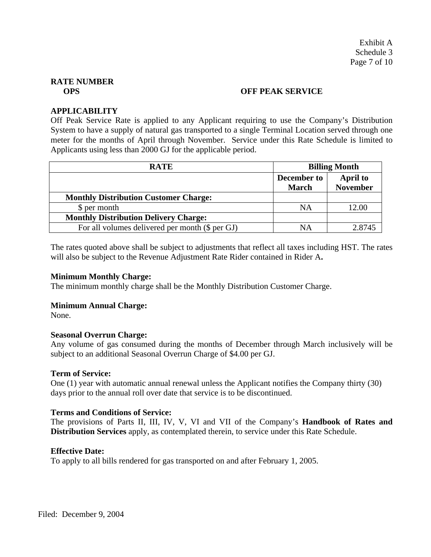#### **OPS OFF PEAK SERVICE**

### **APPLICABILITY**

Off Peak Service Rate is applied to any Applicant requiring to use the Company's Distribution System to have a supply of natural gas transported to a single Terminal Location served through one meter for the months of April through November. Service under this Rate Schedule is limited to Applicants using less than 2000 GJ for the applicable period.

| <b>RATE</b>                                     | <b>Billing Month</b>        |                                    |
|-------------------------------------------------|-----------------------------|------------------------------------|
|                                                 | December to<br><b>March</b> | <b>April to</b><br><b>November</b> |
| <b>Monthly Distribution Customer Charge:</b>    |                             |                                    |
| \$ per month                                    | <b>NA</b>                   | 12.00                              |
| <b>Monthly Distribution Delivery Charge:</b>    |                             |                                    |
| For all volumes delivered per month (\$ per GJ) | ΝA                          | 2.8745                             |

The rates quoted above shall be subject to adjustments that reflect all taxes including HST. The rates will also be subject to the Revenue Adjustment Rate Rider contained in Rider A**.**

#### **Minimum Monthly Charge:**

The minimum monthly charge shall be the Monthly Distribution Customer Charge.

#### **Minimum Annual Charge:**

None.

#### **Seasonal Overrun Charge:**

Any volume of gas consumed during the months of December through March inclusively will be subject to an additional Seasonal Overrun Charge of \$4.00 per GJ.

#### **Term of Service:**

One (1) year with automatic annual renewal unless the Applicant notifies the Company thirty (30) days prior to the annual roll over date that service is to be discontinued.

#### **Terms and Conditions of Service:**

The provisions of Parts II, III, IV, V, VI and VII of the Company's **Handbook of Rates and Distribution Services** apply, as contemplated therein, to service under this Rate Schedule.

#### **Effective Date:**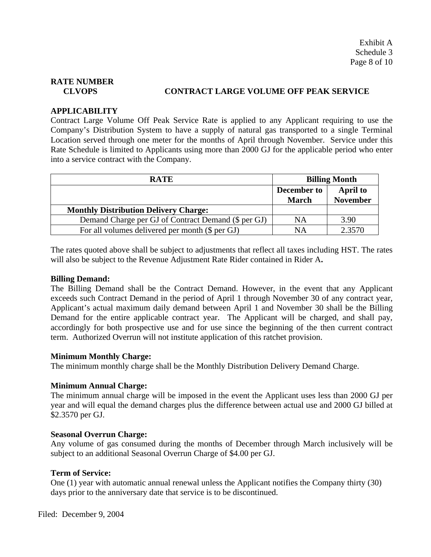# **CLVOPS CONTRACT LARGE VOLUME OFF PEAK SERVICE**

# **APPLICABILITY**

Contract Large Volume Off Peak Service Rate is applied to any Applicant requiring to use the Company's Distribution System to have a supply of natural gas transported to a single Terminal Location served through one meter for the months of April through November. Service under this Rate Schedule is limited to Applicants using more than 2000 GJ for the applicable period who enter into a service contract with the Company.

| <b>RATE</b>                                         | <b>Billing Month</b> |                 |
|-----------------------------------------------------|----------------------|-----------------|
|                                                     | December to          | <b>April to</b> |
|                                                     | <b>March</b>         | <b>November</b> |
| <b>Monthly Distribution Delivery Charge:</b>        |                      |                 |
| Demand Charge per GJ of Contract Demand (\$ per GJ) | NA                   | 3.90            |
| For all volumes delivered per month (\$ per GJ)     | NΑ                   | 2.3570          |

The rates quoted above shall be subject to adjustments that reflect all taxes including HST. The rates will also be subject to the Revenue Adjustment Rate Rider contained in Rider A**.**

# **Billing Demand:**

The Billing Demand shall be the Contract Demand. However, in the event that any Applicant exceeds such Contract Demand in the period of April 1 through November 30 of any contract year, Applicant's actual maximum daily demand between April 1 and November 30 shall be the Billing Demand for the entire applicable contract year. The Applicant will be charged, and shall pay, accordingly for both prospective use and for use since the beginning of the then current contract term. Authorized Overrun will not institute application of this ratchet provision.

# **Minimum Monthly Charge:**

The minimum monthly charge shall be the Monthly Distribution Delivery Demand Charge.

# **Minimum Annual Charge:**

The minimum annual charge will be imposed in the event the Applicant uses less than 2000 GJ per year and will equal the demand charges plus the difference between actual use and 2000 GJ billed at \$2.3570 per GJ.

#### **Seasonal Overrun Charge:**

Any volume of gas consumed during the months of December through March inclusively will be subject to an additional Seasonal Overrun Charge of \$4.00 per GJ.

# **Term of Service:**

One (1) year with automatic annual renewal unless the Applicant notifies the Company thirty (30) days prior to the anniversary date that service is to be discontinued.

Filed: December 9, 2004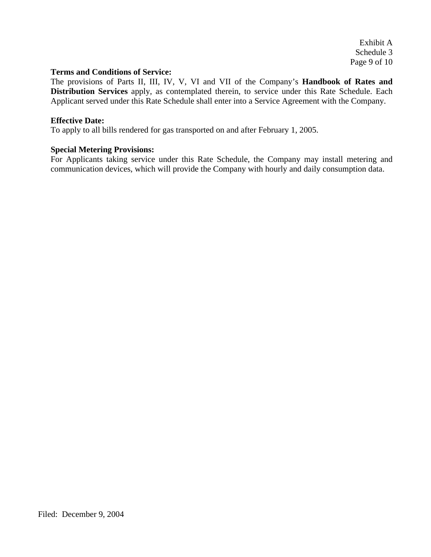Exhibit A Schedule 3 Page 9 of 10

### **Terms and Conditions of Service:**

The provisions of Parts II, III, IV, V, VI and VII of the Company's **Handbook of Rates and Distribution Services** apply, as contemplated therein, to service under this Rate Schedule. Each Applicant served under this Rate Schedule shall enter into a Service Agreement with the Company.

### **Effective Date:**

To apply to all bills rendered for gas transported on and after February 1, 2005.

#### **Special Metering Provisions:**

For Applicants taking service under this Rate Schedule, the Company may install metering and communication devices, which will provide the Company with hourly and daily consumption data.